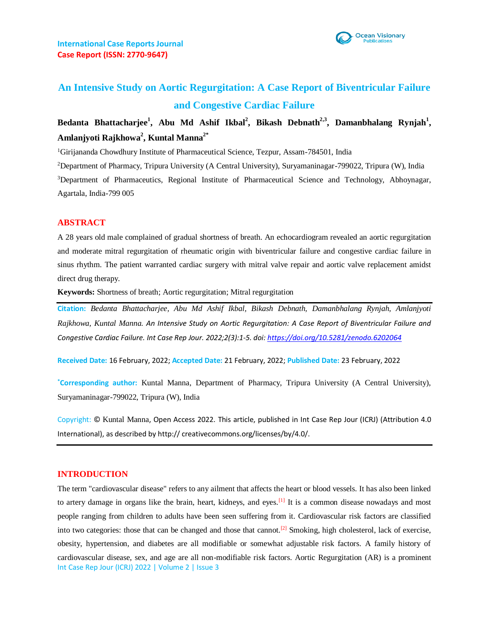

# **An Intensive Study on Aortic Regurgitation: A Case Report of Biventricular Failure and Congestive Cardiac Failure**

## Bedanta Bhattacharjee<sup>1</sup>, Abu Md Ashif Ikbal<sup>2</sup>, Bikash Debnath<sup>2,3</sup>, Damanbhalang Rynjah<sup>1</sup>, **Amlanjyoti Rajkhowa<sup>2</sup> , Kuntal Manna2\***

<sup>1</sup>Girijananda Chowdhury Institute of Pharmaceutical Science, Tezpur, Assam-784501, India

<sup>2</sup>Department of Pharmacy, Tripura University (A Central University), Suryamaninagar-799022, Tripura (W), India

<sup>3</sup>Department of Pharmaceutics, Regional Institute of Pharmaceutical Science and Technology, Abhoynagar, Agartala, India-799 005

## **ABSTRACT**

A 28 years old male complained of gradual shortness of breath. An echocardiogram revealed an aortic regurgitation and moderate mitral regurgitation of rheumatic origin with biventricular failure and congestive cardiac failure in sinus rhythm. The patient warranted cardiac surgery with mitral valve repair and aortic valve replacement amidst direct drug therapy.

**Keywords:** Shortness of breath; Aortic regurgitation; Mitral regurgitation

**Citation:** *Bedanta Bhattacharjee, Abu Md Ashif Ikbal, Bikash Debnath, Damanbhalang Rynjah, Amlanjyoti Rajkhowa, Kuntal Manna. An Intensive Study on Aortic Regurgitation: A Case Report of Biventricular Failure and Congestive Cardiac Failure. Int Case Rep Jour. 2022;2(3):1-5. doi:<https://doi.org/10.5281/zenodo.6202064>*

**Received Date:** 16 February, 2022; **Accepted Date:** 21 February, 2022; **Published Date:** 23 February, 2022

**\*Corresponding author:** Kuntal Manna, Department of Pharmacy, Tripura University (A Central University), Suryamaninagar-799022, Tripura (W), India

Copyright: © Kuntal Manna, Open Access 2022. This article, published in Int Case Rep Jour (ICRJ) (Attribution 4.0 International), as described by http:// creativecommons.org/licenses/by/4.0/.

## **INTRODUCTION**

Int Case Rep Jour (ICRJ) 2022 | Volume 2 | Issue 3 The term "cardiovascular disease" refers to any ailment that affects the heart or blood vessels. It has also been linked to artery damage in organs like the brain, heart, kidneys, and eyes.<sup>[1]</sup> It is a common disease nowadays and most people ranging from children to adults have been seen suffering from it. Cardiovascular risk factors are classified into two categories: those that can be changed and those that cannot.<sup>[2]</sup> Smoking, high cholesterol, lack of exercise, obesity, hypertension, and diabetes are all modifiable or somewhat adjustable risk factors. A family history of cardiovascular disease, sex, and age are all non-modifiable risk factors. Aortic Regurgitation (AR) is a prominent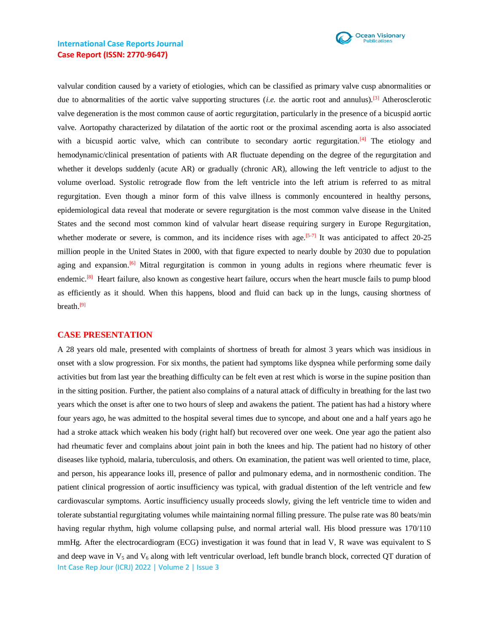

## **International Case Reports Journal Case Report (ISSN: 2770-9647)**

valvular condition caused by a variety of etiologies, which can be classified as primary valve cusp abnormalities or due to abnormalities of the aortic valve supporting structures (*i.e.* the aortic root and annulus).<sup>[3]</sup> Atherosclerotic valve degeneration is the most common cause of aortic regurgitation, particularly in the presence of a bicuspid aortic valve. Aortopathy characterized by dilatation of the aortic root or the proximal ascending aorta is also associated with a bicuspid aortic valve, which can contribute to secondary aortic regurgitation.<sup>[4]</sup> The etiology and hemodynamic/clinical presentation of patients with AR fluctuate depending on the degree of the regurgitation and whether it develops suddenly (acute AR) or gradually (chronic AR), allowing the left ventricle to adjust to the volume overload. Systolic retrograde flow from the left ventricle into the left atrium is referred to as mitral regurgitation. Even though a minor form of this valve illness is commonly encountered in healthy persons, epidemiological data reveal that moderate or severe regurgitation is the most common valve disease in the United States and the second most common kind of valvular heart disease requiring surgery in Europe Regurgitation, whether moderate or severe, is common, and its incidence rises with age.<sup>[5-7]</sup> It was anticipated to affect  $20-25$ million people in the United States in 2000, with that figure expected to nearly double by 2030 due to population aging and expansion.<sup>[6]</sup> Mitral regurgitation is common in young adults in regions where rheumatic fever is endemic.<sup>[8]</sup> Heart failure, also known as congestive heart failure, occurs when the heart muscle fails to pump blood as efficiently as it should. When this happens, blood and fluid can back up in the lungs, causing shortness of breath.<sup>[9]</sup>

#### **CASE PRESENTATION**

Int Case Rep Jour (ICRJ) 2022 | Volume 2 | Issue 3 A 28 years old male, presented with complaints of shortness of breath for almost 3 years which was insidious in onset with a slow progression. For six months, the patient had symptoms like dyspnea while performing some daily activities but from last year the breathing difficulty can be felt even at rest which is worse in the supine position than in the sitting position. Further, the patient also complains of a natural attack of difficulty in breathing for the last two years which the onset is after one to two hours of sleep and awakens the patient. The patient has had a history where four years ago, he was admitted to the hospital several times due to syncope, and about one and a half years ago he had a stroke attack which weaken his body (right half) but recovered over one week. One year ago the patient also had rheumatic fever and complains about joint pain in both the knees and hip. The patient had no history of other diseases like typhoid, malaria, tuberculosis, and others. On examination, the patient was well oriented to time, place, and person, his appearance looks ill, presence of pallor and pulmonary edema, and in normosthenic condition. The patient clinical progression of aortic insufficiency was typical, with gradual distention of the left ventricle and few cardiovascular symptoms. Aortic insufficiency usually proceeds slowly, giving the left ventricle time to widen and tolerate substantial regurgitating volumes while maintaining normal filling pressure. The pulse rate was 80 beats/min having regular rhythm, high volume collapsing pulse, and normal arterial wall. His blood pressure was 170/110 mmHg. After the electrocardiogram (ECG) investigation it was found that in lead V, R wave was equivalent to S and deep wave in  $V_5$  and  $V_6$  along with left ventricular overload, left bundle branch block, corrected QT duration of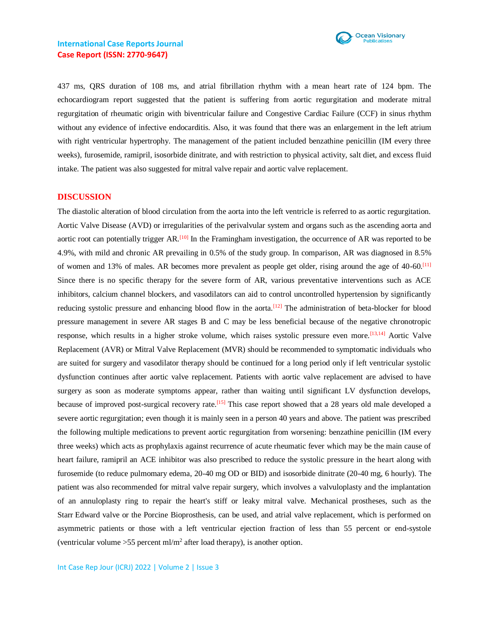

437 ms, QRS duration of 108 ms, and atrial fibrillation rhythm with a mean heart rate of 124 bpm. The echocardiogram report suggested that the patient is suffering from aortic regurgitation and moderate mitral regurgitation of rheumatic origin with biventricular failure and Congestive Cardiac Failure (CCF) in sinus rhythm without any evidence of infective endocarditis. Also, it was found that there was an enlargement in the left atrium with right ventricular hypertrophy. The management of the patient included benzathine penicillin (IM every three weeks), furosemide, ramipril, isosorbide dinitrate, and with restriction to physical activity, salt diet, and excess fluid intake. The patient was also suggested for mitral valve repair and aortic valve replacement.

#### **DISCUSSION**

The diastolic alteration of blood circulation from the aorta into the left ventricle is referred to as aortic regurgitation. Aortic Valve Disease (AVD) or irregularities of the perivalvular system and organs such as the ascending aorta and aortic root can potentially trigger AR.[10] In the Framingham investigation, the occurrence of AR was reported to be 4.9%, with mild and chronic AR prevailing in 0.5% of the study group. In comparison, AR was diagnosed in 8.5% of women and 13% of males. AR becomes more prevalent as people get older, rising around the age of 40-60.[11] Since there is no specific therapy for the severe form of AR, various preventative interventions such as ACE inhibitors, calcium channel blockers, and vasodilators can aid to control uncontrolled hypertension by significantly reducing systolic pressure and enhancing blood flow in the aorta.<sup>[12]</sup> The administration of beta-blocker for blood pressure management in severe AR stages B and C may be less beneficial because of the negative chronotropic response, which results in a higher stroke volume, which raises systolic pressure even more.[13,14] Aortic Valve Replacement (AVR) or Mitral Valve Replacement (MVR) should be recommended to symptomatic individuals who are suited for surgery and vasodilator therapy should be continued for a long period only if left ventricular systolic dysfunction continues after aortic valve replacement. Patients with aortic valve replacement are advised to have surgery as soon as moderate symptoms appear, rather than waiting until significant LV dysfunction develops, because of improved post-surgical recovery rate.<sup>[15]</sup> This case report showed that a 28 years old male developed a severe aortic regurgitation; even though it is mainly seen in a person 40 years and above. The patient was prescribed the following multiple medications to prevent aortic regurgitation from worsening: benzathine penicillin (IM every three weeks) which acts as prophylaxis against recurrence of acute rheumatic fever which may be the main cause of heart failure, ramipril an ACE inhibitor was also prescribed to reduce the systolic pressure in the heart along with furosemide (to reduce pulmomary edema, 20-40 mg OD or BID) and isosorbide dinitrate (20-40 mg, 6 hourly). The patient was also recommended for mitral valve repair surgery, which involves a valvuloplasty and the implantation of an annuloplasty ring to repair the heart's stiff or leaky mitral valve. Mechanical prostheses, such as the Starr Edward valve or the Porcine Bioprosthesis, can be used, and atrial valve replacement, which is performed on asymmetric patients or those with a left ventricular ejection fraction of less than 55 percent or end-systole (ventricular volume  $>55$  percent ml/m<sup>2</sup> after load therapy), is another option.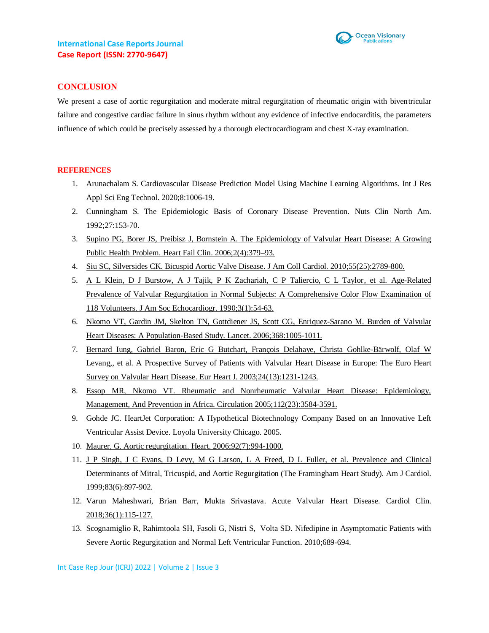

## **CONCLUSION**

We present a case of aortic regurgitation and moderate mitral regurgitation of rheumatic origin with biventricular failure and congestive cardiac failure in sinus rhythm without any evidence of infective endocarditis, the parameters influence of which could be precisely assessed by a thorough electrocardiogram and chest X-ray examination.

#### **REFERENCES**

- 1. Arunachalam S. Cardiovascular Disease Prediction Model Using Machine Learning Algorithms. Int J Res Appl Sci Eng Technol. 2020;8:1006-19.
- 2. Cunningham S. The Epidemiologic Basis of Coronary Disease Prevention. Nuts Clin North Am. 1992;27:153-70.
- 3. [Supino PG, Borer JS, Preibisz J, Bornstein A. The Epidemiology](https://pubmed.ncbi.nlm.nih.gov/17448426/) of Valvular Heart Disease: A Growing [Public Health Problem. Heart Fail Clin. 2006;2\(4\):379–93.](https://pubmed.ncbi.nlm.nih.gov/17448426/)
- 4. [Siu SC, Silversides CK. Bicuspid Aortic Valve Disease. J Am](https://pubmed.ncbi.nlm.nih.gov/20579534/) Coll Cardiol. 2010;55(25):2789-800.
- 5. [A L Klein, D J Burstow, A J Tajik, P K Zachariah, C P Taliercio, C L Taylor, et al. Age-Related](https://pubmed.ncbi.nlm.nih.gov/2310593/)  [Prevalence of Valvular Regurgitation in Normal Subjects: A Comprehensive Color Flow Examination of](https://pubmed.ncbi.nlm.nih.gov/2310593/)  [118 Volunteers. J Am Soc Echocardiogr. 1990;3\(1\):54-63.](https://pubmed.ncbi.nlm.nih.gov/2310593/)
- 6. [Nkomo VT, Gardin JM, Skelton TN, Gottdiener JS, Scott CG, Enriquez-Sarano M. Burden of Valvular](https://pubmed.ncbi.nlm.nih.gov/16980116/)  [Heart Diseases: A Population-Based Study. Lancet.](https://pubmed.ncbi.nlm.nih.gov/16980116/) 2006;368:1005-1011.
- 7. [Bernard Iung, Gabriel Baron, Eric G Butchart, François Delahaye, Christa Gohlke-Bärwolf, Olaf W](https://pubmed.ncbi.nlm.nih.gov/12831818/)  [Levang,, et al. A Prospective Survey of Patients with Valvular Heart Disease in Europe: The](https://pubmed.ncbi.nlm.nih.gov/12831818/) Euro Heart Survey [on Valvular Heart Disease. Eur Heart J. 2003;24\(13\):1231-1243.](https://pubmed.ncbi.nlm.nih.gov/12831818/)
- 8. [Essop MR, Nkomo VT. Rheumatic and Nonrheumatic Valvular Heart Disease: Epidemiology,](https://pubmed.ncbi.nlm.nih.gov/16330700/)  Management, And Prevention [in Africa. Circulation 2005;112\(23\):3584-3591.](https://pubmed.ncbi.nlm.nih.gov/16330700/)
- 9. Gohde JC. HeartJet Corporation: A Hypothetical Biotechnology Company Based on an Innovative Left Ventricular Assist Device. Loyola University Chicago. 2005.
- 10. [Maurer, G. Aortic regurgitation. Heart. 2006;92\(7\):994-1000.](https://pubmed.ncbi.nlm.nih.gov/16775114/)
- 11. [J P Singh, J C Evans, D Levy, M G Larson, L A Freed, D L Fuller, et al. Prevalence and Clinical](https://pubmed.ncbi.nlm.nih.gov/10190406/)  [Determinants of Mitral, Tricuspid, and Aortic Regurgitation \(The](https://pubmed.ncbi.nlm.nih.gov/10190406/) Framingham Heart Study). Am J Cardiol. [1999;83\(6\):897-902.](https://pubmed.ncbi.nlm.nih.gov/10190406/)
- 12. [Varun Maheshwari, Brian Barr, Mukta Srivastava. Acute Valvular Heart Disease. Cardiol Clin.](https://pubmed.ncbi.nlm.nih.gov/29173672/)  [2018;36\(1\):115-127.](https://pubmed.ncbi.nlm.nih.gov/29173672/)
- 13. Scognamiglio R, Rahimtoola SH, Fasoli G, Nistri S, Volta SD. Nifedipine in Asymptomatic Patients with Severe Aortic Regurgitation and Normal Left Ventricular Function. 2010;689-694.